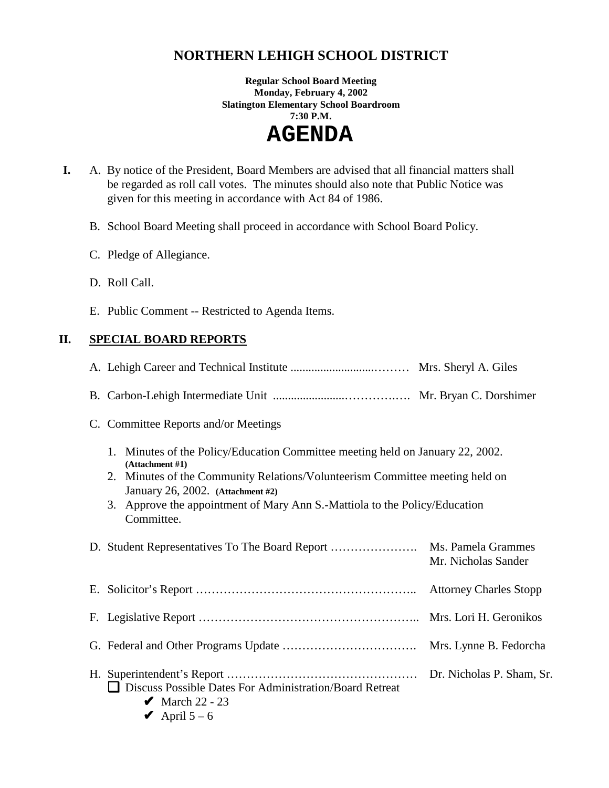# **NORTHERN LEHIGH SCHOOL DISTRICT**

**Regular School Board Meeting Monday, February 4, 2002 Slatington Elementary School Boardroom 7:30 P.M.** 

 **AGENDA** 

- **I.** A. By notice of the President, Board Members are advised that all financial matters shall be regarded as roll call votes. The minutes should also note that Public Notice was given for this meeting in accordance with Act 84 of 1986.
	- B. School Board Meeting shall proceed in accordance with School Board Policy.
	- C. Pledge of Allegiance.
	- D. Roll Call.
	- E. Public Comment -- Restricted to Agenda Items.

# **II. SPECIAL BOARD REPORTS**

| C. Committee Reports and/or Meetings                                                                                                                                                                                                                                                                               |                     |
|--------------------------------------------------------------------------------------------------------------------------------------------------------------------------------------------------------------------------------------------------------------------------------------------------------------------|---------------------|
| 1. Minutes of the Policy/Education Committee meeting held on January 22, 2002.<br>(Attachment #1)<br>2. Minutes of the Community Relations/Volunteerism Committee meeting held on<br>January 26, 2002. (Attachment #2)<br>3. Approve the appointment of Mary Ann S.-Mattiola to the Policy/Education<br>Committee. |                     |
|                                                                                                                                                                                                                                                                                                                    | Mr. Nicholas Sander |
|                                                                                                                                                                                                                                                                                                                    |                     |
|                                                                                                                                                                                                                                                                                                                    |                     |
|                                                                                                                                                                                                                                                                                                                    |                     |
| Discuss Possible Dates For Administration/Board Retreat<br>$\blacktriangleright$ March 22 - 23<br>April $5-6$                                                                                                                                                                                                      |                     |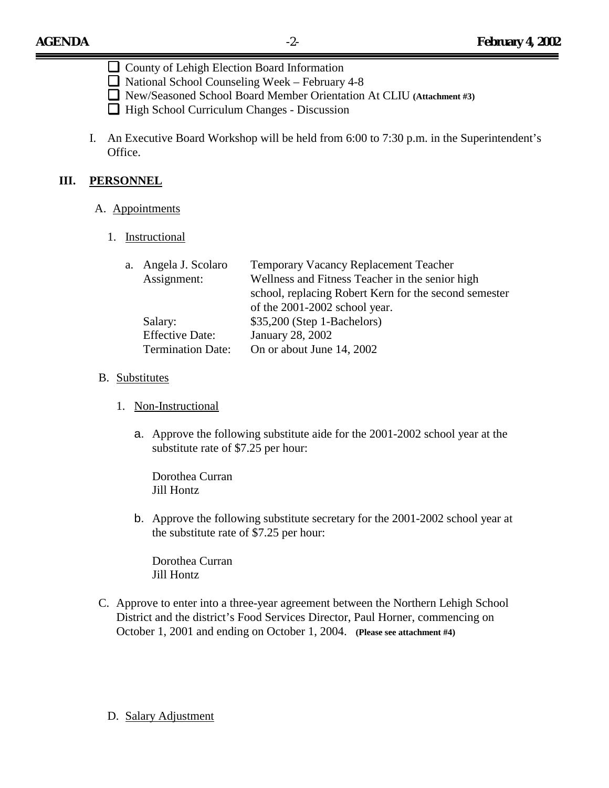- ❏County of Lehigh Election Board Information
- ❏National School Counseling Week February 4-8
- ❏New/Seasoned School Board Member Orientation At CLIU **(Attachment #3)**
- ❏High School Curriculum Changes Discussion
- I. An Executive Board Workshop will be held from 6:00 to 7:30 p.m. in the Superintendent's Office.

# **III. PERSONNEL**

#### A. Appointments

## 1. Instructional

| a. Angela J. Scolaro     | <b>Temporary Vacancy Replacement Teacher</b>          |  |
|--------------------------|-------------------------------------------------------|--|
| Assignment:              | Wellness and Fitness Teacher in the senior high       |  |
|                          | school, replacing Robert Kern for the second semester |  |
|                          | of the 2001-2002 school year.                         |  |
| Salary:                  | $$35,200$ (Step 1-Bachelors)                          |  |
| <b>Effective Date:</b>   | January 28, 2002                                      |  |
| <b>Termination Date:</b> | On or about June 14, 2002                             |  |

## B. Substitutes

- 1. Non-Instructional
	- a. Approve the following substitute aide for the 2001-2002 school year at the substitute rate of \$7.25 per hour:

 Dorothea Curran Jill Hontz

b. Approve the following substitute secretary for the 2001-2002 school year at the substitute rate of \$7.25 per hour:

 Dorothea Curran Jill Hontz

- C. Approve to enter into a three-year agreement between the Northern Lehigh School District and the district's Food Services Director, Paul Horner, commencing on October 1, 2001 and ending on October 1, 2004. **(Please see attachment #4)**
	- D. Salary Adjustment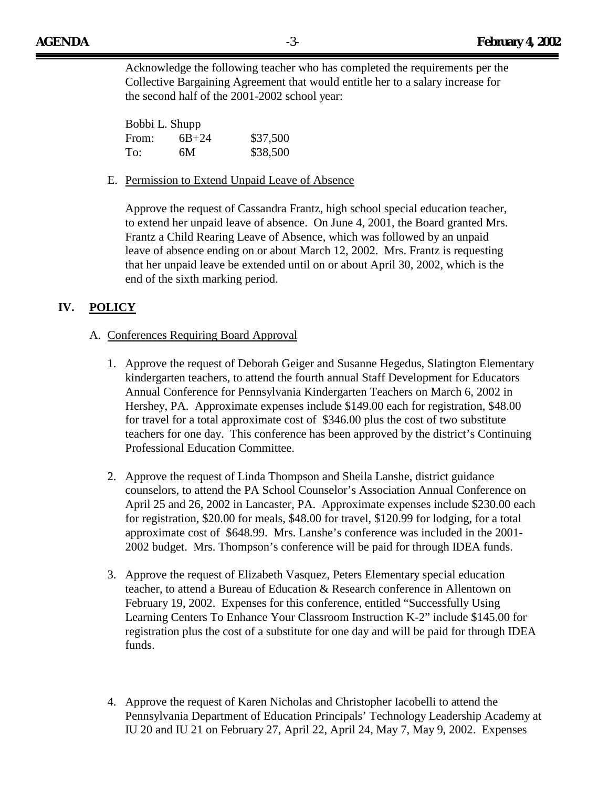Acknowledge the following teacher who has completed the requirements per the Collective Bargaining Agreement that would entitle her to a salary increase for the second half of the 2001-2002 school year:

| Bobbi L. Shupp |           |          |
|----------------|-----------|----------|
| From:          | $6B + 24$ | \$37,500 |
| To:            | 6М        | \$38,500 |

E. Permission to Extend Unpaid Leave of Absence

Approve the request of Cassandra Frantz, high school special education teacher, to extend her unpaid leave of absence. On June 4, 2001, the Board granted Mrs. Frantz a Child Rearing Leave of Absence, which was followed by an unpaid leave of absence ending on or about March 12, 2002. Mrs. Frantz is requesting that her unpaid leave be extended until on or about April 30, 2002, which is the end of the sixth marking period.

## **IV. POLICY**

#### A. Conferences Requiring Board Approval

- 1. Approve the request of Deborah Geiger and Susanne Hegedus, Slatington Elementary kindergarten teachers, to attend the fourth annual Staff Development for Educators Annual Conference for Pennsylvania Kindergarten Teachers on March 6, 2002 in Hershey, PA. Approximate expenses include \$149.00 each for registration, \$48.00 for travel for a total approximate cost of \$346.00 plus the cost of two substitute teachers for one day. This conference has been approved by the district's Continuing Professional Education Committee.
- 2. Approve the request of Linda Thompson and Sheila Lanshe, district guidance counselors, to attend the PA School Counselor's Association Annual Conference on April 25 and 26, 2002 in Lancaster, PA. Approximate expenses include \$230.00 each for registration, \$20.00 for meals, \$48.00 for travel, \$120.99 for lodging, for a total approximate cost of \$648.99. Mrs. Lanshe's conference was included in the 2001- 2002 budget. Mrs. Thompson's conference will be paid for through IDEA funds.
- 3. Approve the request of Elizabeth Vasquez, Peters Elementary special education teacher, to attend a Bureau of Education & Research conference in Allentown on February 19, 2002. Expenses for this conference, entitled "Successfully Using Learning Centers To Enhance Your Classroom Instruction K-2" include \$145.00 for registration plus the cost of a substitute for one day and will be paid for through IDEA funds.
- 4. Approve the request of Karen Nicholas and Christopher Iacobelli to attend the Pennsylvania Department of Education Principals' Technology Leadership Academy at IU 20 and IU 21 on February 27, April 22, April 24, May 7, May 9, 2002. Expenses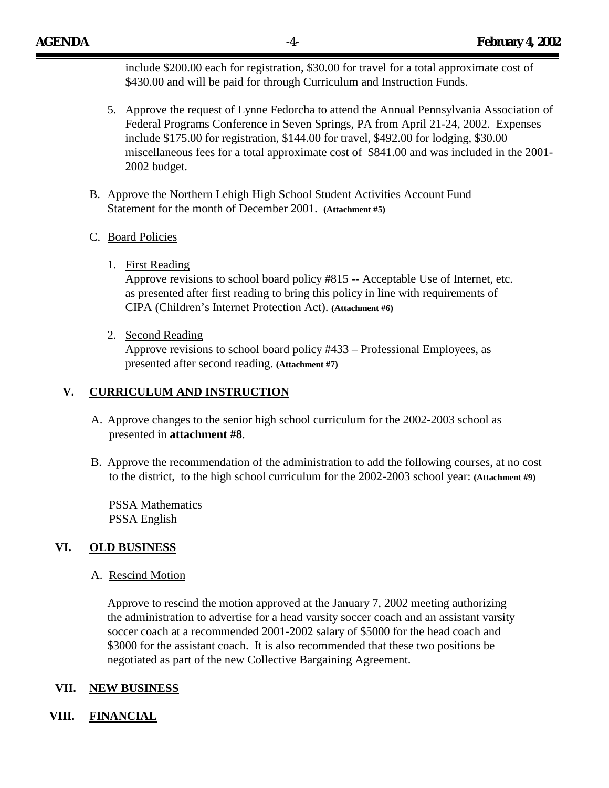include \$200.00 each for registration, \$30.00 for travel for a total approximate cost of \$430.00 and will be paid for through Curriculum and Instruction Funds.

- 5. Approve the request of Lynne Fedorcha to attend the Annual Pennsylvania Association of Federal Programs Conference in Seven Springs, PA from April 21-24, 2002. Expenses include \$175.00 for registration, \$144.00 for travel, \$492.00 for lodging, \$30.00 miscellaneous fees for a total approximate cost of \$841.00 and was included in the 2001- 2002 budget.
- B. Approve the Northern Lehigh High School Student Activities Account Fund Statement for the month of December 2001. **(Attachment #5)**
- C. Board Policies
	- 1. First Reading

Approve revisions to school board policy #815 -- Acceptable Use of Internet, etc. as presented after first reading to bring this policy in line with requirements of CIPA (Children's Internet Protection Act). **(Attachment #6)** 

2. Second Reading

Approve revisions to school board policy #433 – Professional Employees, as presented after second reading. **(Attachment #7)**

#### **V. CURRICULUM AND INSTRUCTION**

- A. Approve changes to the senior high school curriculum for the 2002-2003 school as presented in **attachment #8**.
- B. Approve the recommendation of the administration to add the following courses, at no cost to the district, to the high school curriculum for the 2002-2003 school year: **(Attachment #9)**

PSSA Mathematics PSSA English

## **VI. OLD BUSINESS**

A. Rescind Motion

Approve to rescind the motion approved at the January 7, 2002 meeting authorizing the administration to advertise for a head varsity soccer coach and an assistant varsity soccer coach at a recommended 2001-2002 salary of \$5000 for the head coach and \$3000 for the assistant coach. It is also recommended that these two positions be negotiated as part of the new Collective Bargaining Agreement.

#### **VII. NEW BUSINESS**

## **VIII. FINANCIAL**